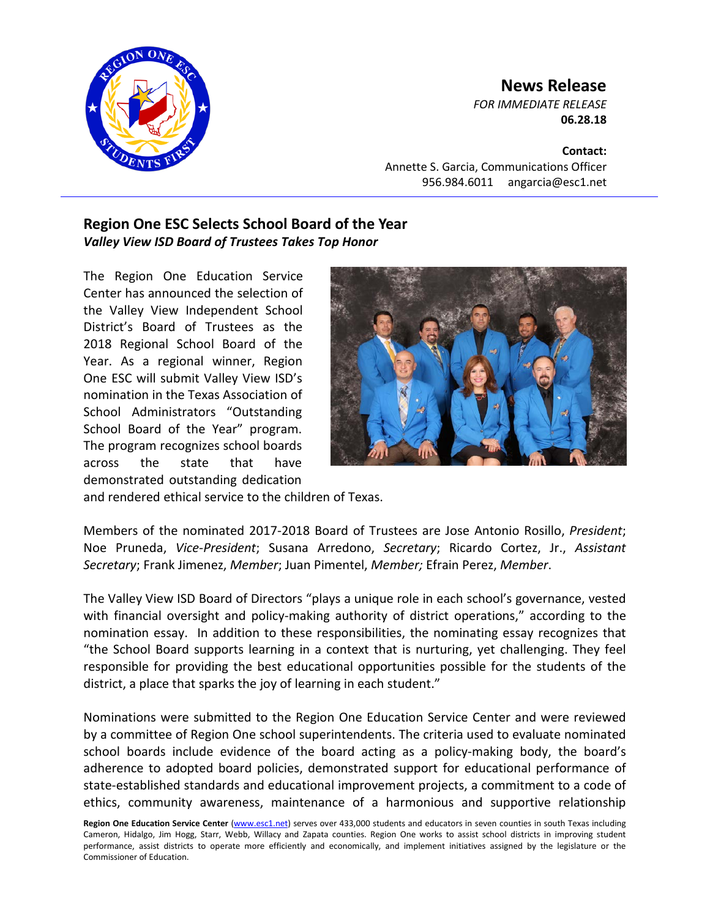

## **News Release**

*FOR IMMEDIATE RELEASE* **06.28.18**

**Contact:**

Annette S. Garcia, Communications Officer 956.984.6011 angarcia@esc1.net

## **Region One ESC Selects School Board of the Year** *Valley View ISD Board of Trustees Takes Top Honor*

The Region One Education Service Center has announced the selection of the Valley View Independent School District's Board of Trustees as the 2018 Regional School Board of the Year. As a regional winner, Region One ESC will submit Valley View ISD's nomination in the Texas Association of School Administrators "Outstanding School Board of the Year" program. The program recognizes school boards across the state that have demonstrated outstanding dedication



and rendered ethical service to the children of Texas.

Members of the nominated 2017-2018 Board of Trustees are Jose Antonio Rosillo, *President*; Noe Pruneda, *Vice-President*; Susana Arredono, *Secretary*; Ricardo Cortez, Jr., *Assistant Secretary*; Frank Jimenez, *Member*; Juan Pimentel, *Member;* Efrain Perez, *Member*.

The Valley View ISD Board of Directors "plays a unique role in each school's governance, vested with financial oversight and policy-making authority of district operations," according to the nomination essay. In addition to these responsibilities, the nominating essay recognizes that "the School Board supports learning in a context that is nurturing, yet challenging. They feel responsible for providing the best educational opportunities possible for the students of the district, a place that sparks the joy of learning in each student."

Nominations were submitted to the Region One Education Service Center and were reviewed by a committee of Region One school superintendents. The criteria used to evaluate nominated school boards include evidence of the board acting as a policy-making body, the board's adherence to adopted board policies, demonstrated support for educational performance of state-established standards and educational improvement projects, a commitment to a code of ethics, community awareness, maintenance of a harmonious and supportive relationship

**Region One Education Service Center** [\(www.esc1.net\)](http://www.esc1.net/) serves over 433,000 students and educators in seven counties in south Texas including Cameron, Hidalgo, Jim Hogg, Starr, Webb, Willacy and Zapata counties. Region One works to assist school districts in improving student performance, assist districts to operate more efficiently and economically, and implement initiatives assigned by the legislature or the Commissioner of Education.